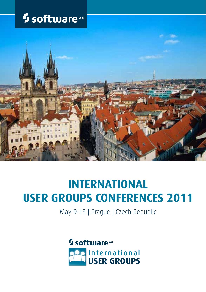# <sup>5</sup> software<sup>AG</sup>



# **INTERNATIONAL USER GROUPS CONFERENCES 2011**

May 9-13 | Prague | Czech Republic

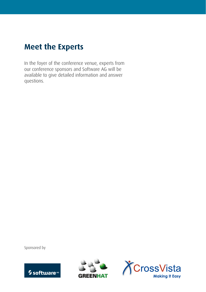#### **Meet the Experts**

In the foyer of the conference venue, experts from our conference sponsors and Software AG will be available to give detailed information and answer questions.

Sponsored by





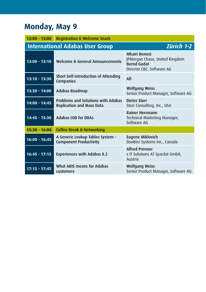#### **Monday, May 9**

| $12:00 - 13:00$                                             | <b>Registration &amp; Welcome Snack</b>                                       |                                                                                                           |
|-------------------------------------------------------------|-------------------------------------------------------------------------------|-----------------------------------------------------------------------------------------------------------|
| <b>International Adabas User Group</b><br><b>Zürich 1-2</b> |                                                                               |                                                                                                           |
| $13:00 - 13:10$                                             | Welcome & General Announcements                                               | <b>Mhairi Benest</b><br>JPMorgan Chase, United Kingdom<br><b>Bernd Gudat</b><br>Director CBC, Software AG |
| $13:10 - 13:30$                                             | Short Self-introduction of Attending<br>Companies                             | All                                                                                                       |
| $13:30 - 14:00$                                             | Adabas Roadmap                                                                | <b>Wolfgang Weiss</b><br>Senior Product Manager, Software AG                                              |
| $14:00 - 14:45$                                             | <b>Problems and Solutions with Adabas</b><br><b>Replication and Mass Data</b> | <b>Dieter Storr</b><br>Storr Consulting, Inc., USA                                                        |
| $14:45 - 15:30$                                             | <b>Adabas LOB for DBAs</b>                                                    | <b>Rainer Herrmann</b><br>Technical Marketing Manager,<br>Software AG                                     |
| $15:30 - 16:00$                                             | Coffee Break & Networking                                                     |                                                                                                           |
| $16:00 - 16:45$                                             | A Generic Lookup Tables System -<br><b>Component Productivity</b>             | Eugene Miklovich<br>DooBee Systems Inc., Canada                                                           |
| $16:45 - 17:15$                                             | <b>Experiences with Adabas 8.2</b>                                            | <b>Alfred Prenner</b><br>s IT Solutions AT Spardat GmbH,<br>Austria                                       |
| $17:15 - 17:45$                                             | What ARIS means for Adabas<br>customers                                       | Wolfgang Weiss<br>Senior Product Manager, Software AG                                                     |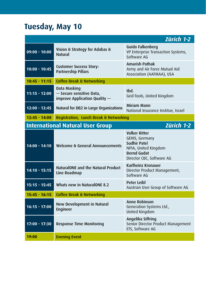## **Tuesday, May 10**

 *Zürich 1-2*

| $09:00 - 10:00$                                              | Vision & Strategy for Adabas &<br><b>Natural</b>                          | Guido Falkenberg<br>VP Enterprise Transaction Systems,<br>Software AG                                                             |  |
|--------------------------------------------------------------|---------------------------------------------------------------------------|-----------------------------------------------------------------------------------------------------------------------------------|--|
| $10:00 - 10:45$                                              | <b>Customer Success Story:</b><br>Partnership Pillars                     | <b>Amarish Pathak</b><br>Army and Air Force Mutual Aid<br>Association (AAFMAA), USA                                               |  |
| $10:45 - 11:15$                                              | <b>Coffee Break &amp; Networking</b>                                      |                                                                                                                                   |  |
| $11:15 - 12:00$                                              | Data Masking<br>- Secure sensitive Data,<br>improve Application Quality - | thd.<br>Grid-Tools, United Kingdom                                                                                                |  |
| $12:00 - 12:45$                                              | Natural for DB2 in Large Organizations                                    | Miriam Mann<br>National Insurance Institue, Israel                                                                                |  |
| Registration, Lunch Break & Networking<br>$12:45 - 14:00$    |                                                                           |                                                                                                                                   |  |
| <b>Zürich 1-2</b><br><b>International Natural User Group</b> |                                                                           |                                                                                                                                   |  |
| $14:00 - 14:10$                                              | Welcome & General Announcements                                           | <b>Volker Ritter</b><br>GEHIS, Germany<br>Sudhir Patel<br>NPIA, United Kingdom<br><b>Bernd Gudat</b><br>Director CBC, Software AG |  |
| $14:10 - 15:15$                                              | NaturalONE and the Natural Product<br>Line Roadmap                        | Karlheinz Kronauer<br>Director Product Management,<br>Software AG                                                                 |  |
| $15:15 - 15:45$                                              | Whats new in NaturalONE 8.2                                               | <b>Peter Leibl</b><br>Austrian User Group of Software AG                                                                          |  |
| $15:45 - 16:15$                                              | <b>Coffee Break &amp; Networking</b>                                      |                                                                                                                                   |  |
| $16:15 - 17:00$                                              | New Development in Natural<br><b>Engineer</b>                             | Anne Robinson<br>Generation Systems Ltd.,<br>United Kingdom                                                                       |  |
| $17:00 - 17:30$                                              | <b>Response Time Monitoring</b>                                           | Angelika Siffring<br>Senior Director Product Management<br>ETS, Software AG                                                       |  |
| 19:00                                                        | <b>Evening Event</b>                                                      |                                                                                                                                   |  |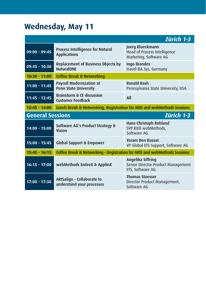#### **Wednesday, May 11**

 *Zürich 1-3* **09:00 - 09:45** Process Intelligence for Natural Applications Joerg Klueckmann Head of Process Intelligence Marketing, Software AG **09:45 - 10:30** Replacement of Business Objects by NaturalONE Ingo Brandes travel-BA.Sys, Germany **10:30 - 11:00** Coffee Break & Networking **11:00 - 11:45** Payroll Modernization at Penn State University Ronald Rash Pennsylvania State University, USA **11:45 - 12:45** Brainstorm & CE discussion Brainstoirii a Ce discussion<br>Customer Feedback All **12:45 - 14:00** Lunch Break & Networking, Registration for ARIS and webMethods Sessions **General Sessions** *Zürich 1-3* **14:00 - 15:00** Software AG's Product Strategy & Vision Hans-Christoph Rohland SVP R&D webMethods, Software AG **15:00 - 15:45** Global Support & Empower Yoram Ben Bassat VP Global ETS Support, Software AG **15:45 - 16:15** Coffee Break & Networking - Registration for ARIS and webMethods Sessions **16:15 - 17:00** webMethods EntireX & ApplinX Angelika Siffring Senior Director Product Management ETS, Software AG **17:00 - 17:30** ARISalign - Collaborate to understand your processes Thomas Stoesser Director Product Management, Software AG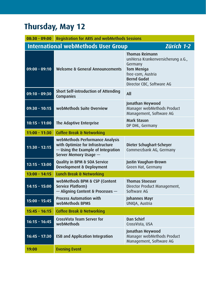## **Thursday, May 12**

| $08:30 - 09:00$                                          | <b>Registration for ARIS and webMethods Sessions</b>                                                                               |                                                                                                                                                              |
|----------------------------------------------------------|------------------------------------------------------------------------------------------------------------------------------------|--------------------------------------------------------------------------------------------------------------------------------------------------------------|
| <b>International webMethods User Group</b><br>Zürich 1-2 |                                                                                                                                    |                                                                                                                                                              |
| $09:00 - 09:10$                                          | Welcome & General Announcements                                                                                                    | <b>Thomas Reimann</b><br>uniVersa Krankenversicherung a.G.,<br>Germany<br>Tom Meniga<br>free-com, Austria<br><b>Bernd Gudat</b><br>Director CBC, Software AG |
| $09:10 - 09:30$                                          | Short Self-introduction of Attending<br>Companies                                                                                  | All                                                                                                                                                          |
| $09:30 - 10:15$                                          | webMethods Suite Overview                                                                                                          | Jonathan Heywood<br>Manager webMethods Product<br>Management, Software AG                                                                                    |
| $10:15 - 11:00$                                          | The Adaptive Enterprise                                                                                                            | Mark Stason<br>DP DHL, Germany                                                                                                                               |
| $11:00 - 11:30$                                          | <b>Coffee Break &amp; Networking</b>                                                                                               |                                                                                                                                                              |
| $11:30 - 12:15$                                          | webMethods Performance Analysis<br>with Optimize for Infrastructure<br>- Using the Example of Integration<br>Server Memory Usage - | Dieter Schughart-Scheyer<br>Commerzbank AG, Germany                                                                                                          |
| $12:15 - 13:00$                                          | Quality in BPM & SOA Service<br>Development & Deployment                                                                           | Justin Vaughan-Brown<br>Green Hat, Germany                                                                                                                   |
| $13:00 - 14:15$                                          | Lunch Break & Networking                                                                                                           |                                                                                                                                                              |
| $14:15 - 15:00$                                          | webMethods BPM & CSP (Content<br>Service Platform)<br>- Aligning Content & Processes -                                             | <b>Thomas Stoesser</b><br>Director Product Management,<br>Software AG                                                                                        |
| $15:00 - 15:45$                                          | <b>Process Automation with</b><br>webMethods BPMS                                                                                  | Johannes Mayr<br>UNIQA, Austria                                                                                                                              |
| $15:45 - 16:15$                                          | <b>Coffee Break &amp; Networking</b>                                                                                               |                                                                                                                                                              |
| $16:15 - 16:45$                                          | CrossVista Team Server for<br>webMethods                                                                                           | Dan Schirf<br>CrossVista, USA                                                                                                                                |
| $16:45 - 17:30$                                          | <b>ESB and Application Integration</b>                                                                                             | Jonathan Heywood<br>Manager webMethods Product<br>Management, Software AG                                                                                    |
| 19:00                                                    | <b>Evening Event</b>                                                                                                               |                                                                                                                                                              |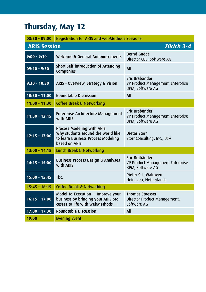## **Thursday, May 12**

| $08:30 - 09:00$                   | <b>Registration for ARIS and webMethods Sessions</b>                                                                           |                                                                        |
|-----------------------------------|--------------------------------------------------------------------------------------------------------------------------------|------------------------------------------------------------------------|
| Zürich 3-4<br><b>ARIS Session</b> |                                                                                                                                |                                                                        |
| $9:00 - 9:10$                     | Welcome & General Announcements                                                                                                | <b>Bernd Gudat</b><br>Director CBC, Software AG                        |
| $09:10 - 9:30$                    | Short Self-introduction of Attending<br>Companies                                                                              | All                                                                    |
| $9:30 - 10:30$                    | ARIS - Overview, Strategy & Vision                                                                                             | Eric Brabänder<br>VP Product Management Enterprise<br>BPM, Software AG |
| $10:30 - 11:00$                   | <b>Roundtable Discussion</b>                                                                                                   | All                                                                    |
| $11:00 - 11:30$                   | <b>Coffee Break &amp; Networking</b>                                                                                           |                                                                        |
| $11:30 - 12:15$                   | <b>Enterprise Architecture Management</b><br>with ARIS                                                                         | Fric Brabänder<br>VP Product Management Enterprise<br>BPM, Software AG |
| $12:15 - 13:00$                   | <b>Process Modeling with ARIS</b><br>Why students around the world like<br>to learn Business Process Modeling<br>based on ARIS | Dieter Storr<br>Storr Consulting, Inc., USA                            |
| $13:00 - 14:15$                   | Lunch Break & Networking                                                                                                       |                                                                        |
| $14:15 - 15:00$                   | <b>Business Process Design &amp; Analyses</b><br>with ARIS                                                                     | Eric Brabänder<br>VP Product Management Enterprise<br>BPM, Software AG |
| $15:00 - 15:45$                   | Tbc.                                                                                                                           | Pieter C.L. Walraven<br>Heineken, Netherlands                          |
| $15:45 - 16:15$                   | <b>Coffee Break &amp; Networking</b>                                                                                           |                                                                        |
| $16:15 - 17:00$                   | Model-to-Execution – Improve your<br>business by bringing your ARIS pro-<br>cesses to life with webMethods -                   | <b>Thomas Stoesser</b><br>Director Product Management,<br>Software AG  |
| $17:00 - 17:30$                   | <b>Roundtable Discussion</b>                                                                                                   | All                                                                    |
| 19:00                             | <b>Evening Event</b>                                                                                                           |                                                                        |